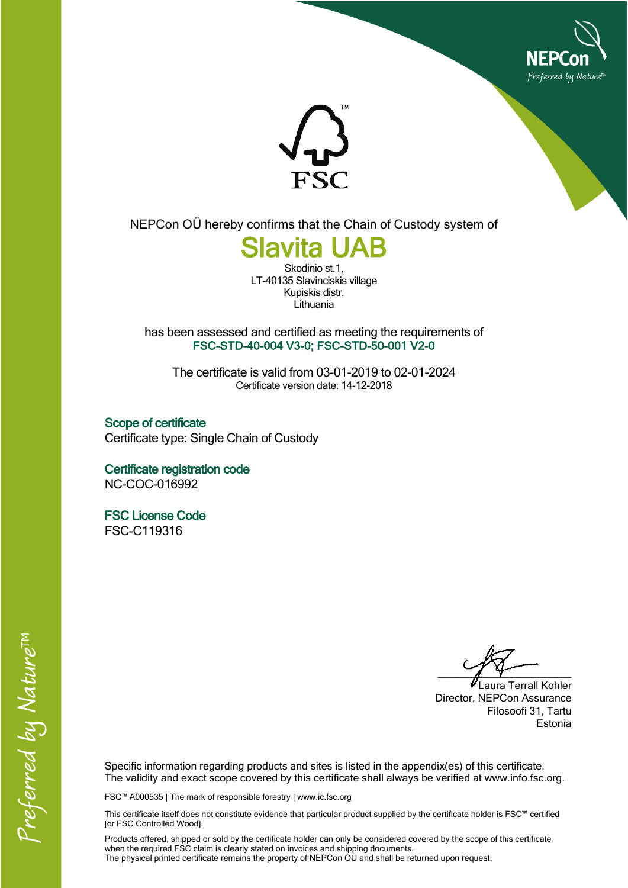



NEPCon OÜ hereby confirms that the Chain of Custody system of

## **Slavita UAB**

Skodinio st.1, LT-40135 Slavinciskis village Kupiskis distr. Lithuania

has been assessed and certified as meeting the requirements of **FSC-STD-40-004 V3-0; FSC-STD-50-001 V2-0**

The certificate is valid from 03-01-2019 to 02-01-2024 Certificate version date: 14-12-2018

**Scope of certificate** Certificate type: Single Chain of Custody

**Certificate registration code** NC-COC-016992

**FSC License Code** FSC-C119316

 $\overline{\phantom{a}}$ 

Laura Terrall Kohler Director, NEPCon Assurance Filosoofi 31, Tartu Estonia

Specific information regarding products and sites is listed in the appendix(es) of this certificate. The validity and exact scope covered by this certificate shall always be verified at www.info.fsc.org.

FSC™ A000535 | The mark of responsible forestry | www.ic.fsc.org

This certificate itself does not constitute evidence that particular product supplied by the certificate holder is FSC™ certified [or FSC Controlled Wood].

Products offered, shipped or sold by the certificate holder can only be considered covered by the scope of this certificate when the required FSC claim is clearly stated on invoices and shipping documents. The physical printed certificate remains the property of NEPCon OÜ and shall be returned upon request.